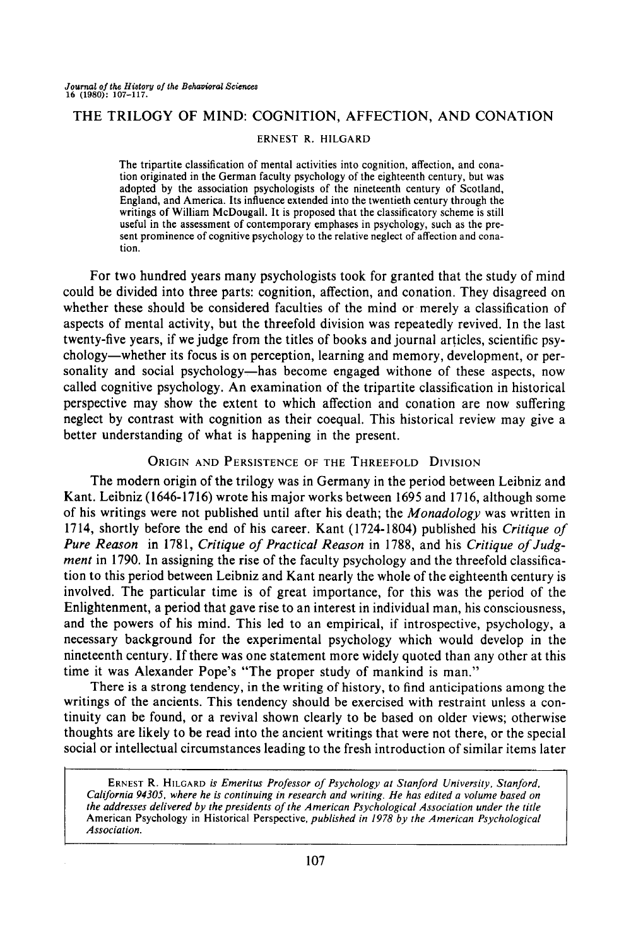# THE TRILOGY **OF** MIND: COGNITION, AFFECTION, AND CONATION

### ERNEST R. HILGARD

**The tripartite classification of mental activities into cognition, affection, and conation originated in the German faculty psychology of the eighteenth century, but was adopted by the association psychologists of the nineteenth century of Scotland, England, and America. Its influence extended into the twentieth century through the writings of William McDougall. It is proposed that the classificatory scheme is still useful in the assessment of contemporary emphases in psychology, such as the present prominence of cognitive psychology** to **the relative neglect of affection and conation.** 

For two hundred years many psychologists took for granted that the study of mind could be divided into three parts: cognition, affection, and conation. They disagreed on whether these should be considered faculties of the mind or merely a classification of aspects of mental activity, but the threefold division was repeatedly revived. In the last twenty-five years, if we judge from the titles of books and journal articles, scientific psychology-whether its focus is on perception, learning and memory, development, or personality and social psychology—has become engaged withone of these aspects, now called cognitive psychology. An examination of the tripartite classification in historical perspective may show the extent to which affection and conation are now suffering neglect by contrast with cognition as their coequal. This historical review may give a better understanding of what is happening in the present.

# ORIGIN AND PERSISTENCE OF THE THREEFOLD DIVISION

The modern origin of the trilogy was in Germany in the period between Leibniz and Kant. Leibniz (1646-1716) wrote his major works between 1695 and 1716, although some of his writings were not published until after his death; the *Monadology* was written in 1714, shortly before the end of his career. Kant (1724-1804) published his *Critique of Pure Reason* in 1781, *Critique of Practical Reason* in 1788, and his *Critique of Judgment* in 1790. In assigning the rise of the faculty psychology and the threefold classification to this period between Leibniz and Kant nearly the whole of the eighteenth century is involved. The particular time is of great importance, for this was the period of the Enlightenment, a period that gave rise to an interest in individual man, his consciousness, and the powers of his mind. This led to an empirical, if introspective, psychology, a necessary background for the experimental psychology which would develop in the nineteenth century. If there was one statement more widely quoted than any other at this time it was Alexander Pope's "The proper study of mankind is man."

There is a strong tendency, in the writing of history, to find anticipations among the writings of the ancients. This tendency should be exercised with restraint unless a continuity can be found, or a revival shown clearly to be based on older views; otherwise thoughts are likely to be read into the ancient writings that were not there, or the special social or intellectual circumstances leading to the fresh introduction of similar items later

 $\begin{array}{c}\n \text{w, Stanford,} \\
\text{m}{e}~\text{based on} \\
\text{der the title} \\
\text{wphological}\n \end{array}$ **ERNEST R. HILCARD** *is Emeritus Professor of Psychology at Stanford University, Stanford, California 94305, where he* **is** *continuing in research and writing. He has edited a volume based on*  the addresses delivered by the presidents of the American Psychological Association under the title **American Psychology in Historical Perspective,** *published in 1978 by the American Psychological Association.*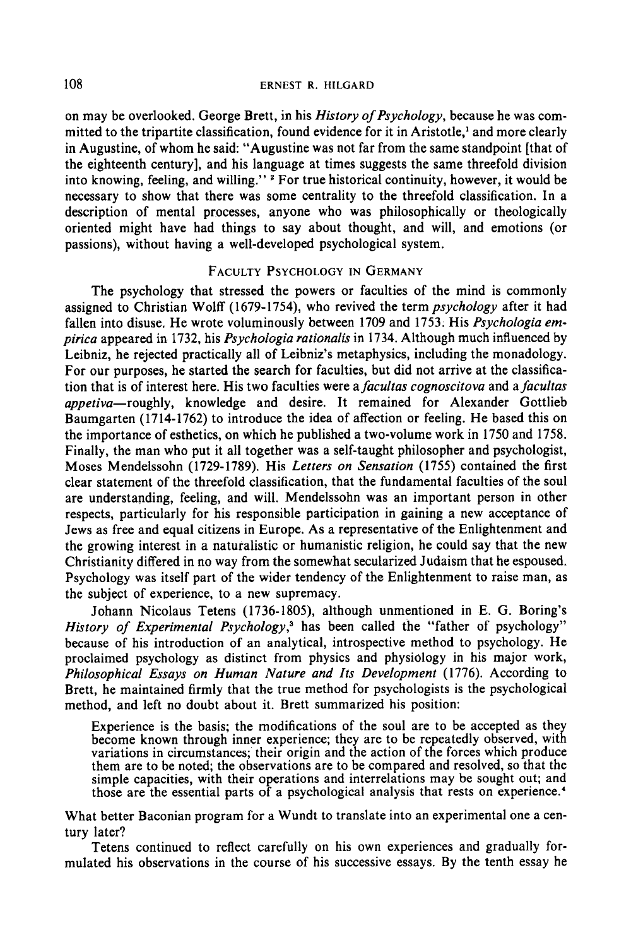on may be overlooked. George Brett, in his History *of* Psychology, because he was committed to the tripartite classification, found evidence for it in Aristotle,' and more clearly in Augustine, of whom he said: "Augustine was not far from the same standpoint [that of the eighteenth century], and his language at times suggests the same threefold division into knowing, feeling, and willing."<sup>2</sup> For true historical continuity, however, it would be necessary to show that there was some centrality to the threefold classification. In a description of mental processes, anyone who was philosophically or theologically oriented might have had things to say about thought, and will, and emotions (or passions), without having a well-developed psychological system.

### **FACULTY PSYCHOLOGY IN GERMANY**

The psychology that stressed the powers or faculties of the mind is commonly assigned to Christian Wolff (1679-1754), who revived the term *psychology* after it had fallen into disuse. He wrote voluminously between 1709 and 1753. His Psychologia empirica appeared in 1732, his Psychologia rationalis in 1734. Although much influenced by Leibniz, he rejected practically all of Leibniz's metaphysics, including the monadology. For our purposes, he started the search for faculties, but did not arrive at the classification that is of interest here. His two faculties were a *facultas cognoscitova* and a *facultas* appetiva-roughly, knowledge and desire. It remained for Alexander Gottlieb Baumgarten (1714-1762) to introduce the idea of affection or feeling. He based this on the importance of esthetics, on which he published a two-volume work in 1750 and 1758. Finally, the man who put it all together was a self-taught philosopher and psychologist, Moses Mendelssohn (1729-1789). His Letters on Sensation (1755) contained the first clear statement of the threefold classification, that the fundamental faculties of the soul are understanding, feeling, and will. Mendelssohn was an important person in other respects, particularly for his responsible participation in gaining a new acceptance of Jews as free and equal citizens in Europe. As a representative of the Enlightenment and the growing interest in a naturalistic or humanistic religion, he could say that the new Christianity differed in no way from the somewhat secularized Judaism that he espoused. Psychology was itself part of the wider tendency of the Enlightenment to raise man, as the subject of experience, to a new supremacy.

Johann Nicolaus Tetens (1736-1809, although unmentioned in E. G. Boring's History of Experimental Psychology,<sup>3</sup> has been called the "father of psychology" because of his introduction of an analytical, introspective method to psychology. He proclaimed psychology as distinct from physics and physiology in his major work, Philosophical Essays on Human Nature and Its Development (1776). According to Brett, he maintained firmly that the true method for psychologists is the psychological method, and left no doubt about it. Brett summarized his position:

Experience is the basis; the modifications of the soul are to be accepted as they become known through inner experience; they are to be repeatedly observed, with uncidiation is ejementationally produce variations in circumstances; their origin and the action of the forces which produce them are to be noted; the observations are to be compared and resolved, **so** that the simple capacities, with their operations and interrelations may be sought out; and those are the essential parts of a psychological analysis that rests on experience.'

What better Baconian program for a Wundt to translate into an experimental one a century later?

Tetens continued to reflect carefully on his own experiences and gradually formulated his observations in the course of his successive essays. By the tenth essay he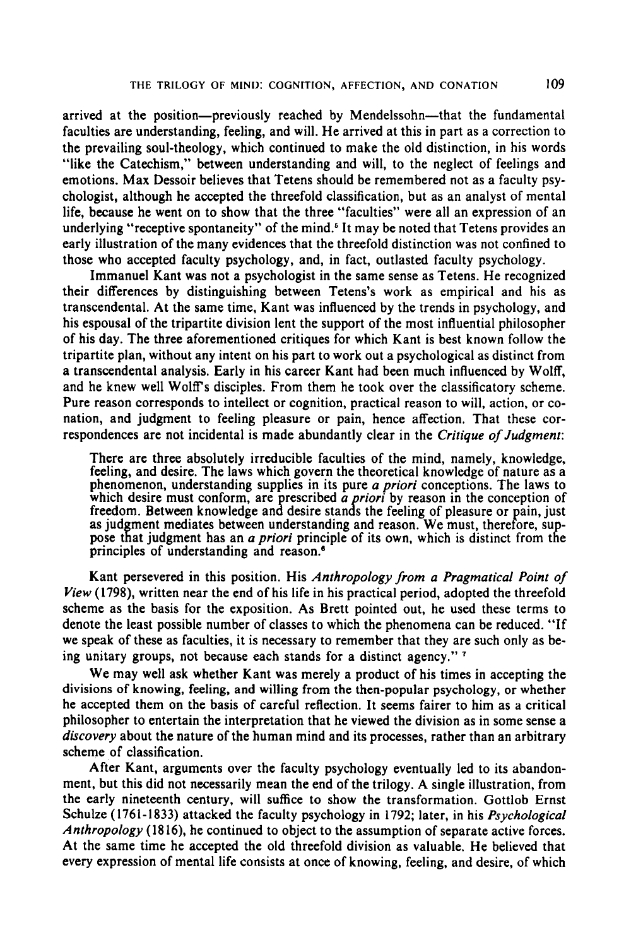arrived at the position-previously reached by Mendelssohn-that the fundamental faculties are understanding, feeling, and will. He arrived at this in part as a correction to the prevailing soul-theology, which continued to make the old distinction, in his words "like the Catechism," between understanding and will, to the neglect of feelings and emotions. Max Dessoir believes that Tetens should be remembered not as a faculty psychologist, although he accepted the threefold classification, but as an analyst of mental life, because he went on to show that the three "faculties" were all an expression of an underlying "receptive spontaneity" of the mind.<sup>6</sup> It may be noted that Tetens provides an early illustration of the many evidences that the threefold distinction was not confined to those who accepted faculty psychology, and, in fact, outlasted faculty psychology.

Immanuel Kant was not a psychologist in the same sense as Tetens. He recognized their differences by distinguishing between Tetens's work as empirical and his as transcendental. At the same time, Kant was influenced by the trends in psychology, and his espousal of the tripartite division lent the support of the most influential philosopher of his day. The three aforementioned critiques for which Kant is best known follow the tripartite plan, without any intent on his part to work out a psychological as distinct from a transcendental analysis. Early in his career Kant had been much influenced by Wolff, and he knew well Wolffs disciples. From them he took over the classificatory scheme. Pure reason corresponds to intellect or cognition, practical reason to will, action, or conation, and judgment to feeling pleasure or pain, hence affection. That these correspondences are not incidental is made abundantly clear in the *Critique of Judgment:* 

There are three absolutely irreducible faculties of the mind, namely, knowledge, feeling, and desire. The laws which govern the theoretical knowledge of nature as a phenomenon, understanding supplies in its pure *a priori* conceptions. The laws to which desire must conform, are prescribed  $\hat{a}$  priori by reason in the conception of freedom. Between knowledge and desire stands the feeling of pleasure or pain, just as judgment mediates between understanding and rea pose that judgment has an *a priori* principle of its own, which is distinct from the principles of understanding and reason.<sup>6</sup>

Kant persevered in this position. His *Anthropology from a Pragmatical Point of View* (1798), written near the end of his life in his practical period, adopted the threefold scheme as the basis for the exposition. As Brett pointed out, he used these terms to denote the least possible number of classes to which the phenomena can be reduced. "If we speak of these as faculties, it is necessary to remember that they are such only as being unitary groups, not because each stands for a distinct agency."<sup>7</sup>

We may well ask whether Kant was merely a product of his times in accepting the divisions of knowing, feeling, and willing from the then-popular psychology, or whether he accepted them on the basis of careful reflection. It seems fairer to him as a critical philosopher to entertain the interpretation that he viewed the division as in some sense a *discovery* about the nature of the human mind and its processes, rather than an arbitrary scheme of classification.

After Kant, arguments over the faculty psychology eventually led to its abandonment, but this did not necessarily mean the end of the trilogy. A single illustration, from the early nineteenth century, will suffice to show the transformation. Gottlob Ernst Schulze (1761-1833) attacked the faculty psychology in 1792; later, in his *Psychological Anthropology* (1816), he continued to object to the assumption of separate active forces. At the same time he accepted the old threefold division as valuable. He believed that every expression of mental life consists at once of knowing, feeling, and desire, of which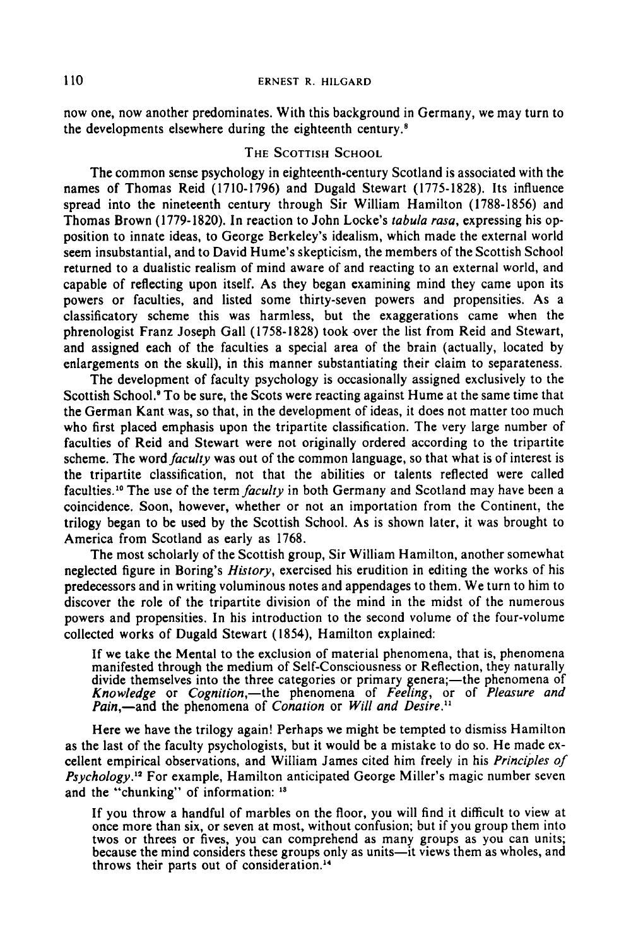now one, now another predominates. With this background in Germany, we may turn to the developments elsewhere during the eighteenth century.8

#### THE SCOTTISH SCHOOL

The common sense psychology in eighteenth-century Scotland is associated with the names of Thomas Reid (1710-1796) and Dugald Stewart (1775-1828). Its influence spread into the nineteenth century through Sir William Hamilton (1788-1856) and Thomas Brown (1779-1820). In reaction to John Locke's tabula rasa, expressing his opposition to innate ideas, to George Berkeley's idealism, which made the external world seem insubstantial, and to David Hume's skepticism, the members of the Scottish School returned to a dualistic realism of mind aware of and reacting to an external world, and capable of reflecting upon itself. As they began examining mind they came upon its powers or faculties, and listed some thirty-seven powers and propensities. As a classificatory scheme this was harmless, but the exaggerations came when the phrenologist Franz Joseph Gall (1758-1828) took over the list from Reid and Stewart, and assigned each of the faculties a special area of the brain (actually, located by enlargements **on** the skull), in this manner substantiating their claim to separateness.

The development of faculty psychology is occasionally assigned exclusively to the Scottish School.<sup>®</sup> To be sure, the Scots were reacting against Hume at the same time that the German Kant was, so that, in the development of ideas, it does not matter too much who first placed emphasis upon the tripartite classification. The very large number of faculties of Reid and Stewart were not originally ordered according to the tripartite scheme. The word *faculty* was out of the common language, so that what is of interest is the tripartite classification, not that the abilities or talents reflected were called faculties.<sup>10</sup> The use of the term *faculty* in both Germany and Scotland may have been a coincidence. Soon, however, whether or not an importation from the Continent, the trilogy began to be used by the Scottish School. As is shown later, it was brought to America from Scotland as early as 1768.

The most scholarly of the Scottish group, Sir William Hamilton, another somewhat neglected figure in Boring's History, exercised his erudition in editing the works of his predecessors and in writing voluminous notes and appendages to them. We turn to him to discover the role of the tripartite division of the mind in the midst of the numerous powers and propensities. In his introduction to the second volume of the four-volume collected works of Dugald Stewart (l854), Hamilton explained:

If we take the Mental to the exclusion of material phenomena, that is, phenomena manifested through the medium of Self-Consciousness or Reflection, they naturally manifested through the medium of Self-Consciousness or Reflection, they naturally divide themselves into the three categories or primary genera;—the phenomena of Knowledge or Cognition,—the phenomena of Feeling, or of Pleasure and Pain,—and the phenomena of Conation or Will and Desire.<sup>11</sup>

Here we have the trilogy again! Perhaps we might be tempted to dismiss Hamilton as the last of the faculty psychologists, but it would be a mistake to do so. He made excellent empirical observations, and William James cited him freely in his Principles *of*   $Psychology.<sup>12</sup>$  For example, Hamilton anticipated George Miller's magic number seven and the "chunking" of information: **Is** 

If you throw a handful of marbles on the floor, you will find it difficult to view at once more than six, or seven at most, without confusion; but if you group them into twos or threes or fives, you can comprehend as many groups as you can units; because the mind considers these groups only as units-it views them as wholes, and throws their parts out of consideration."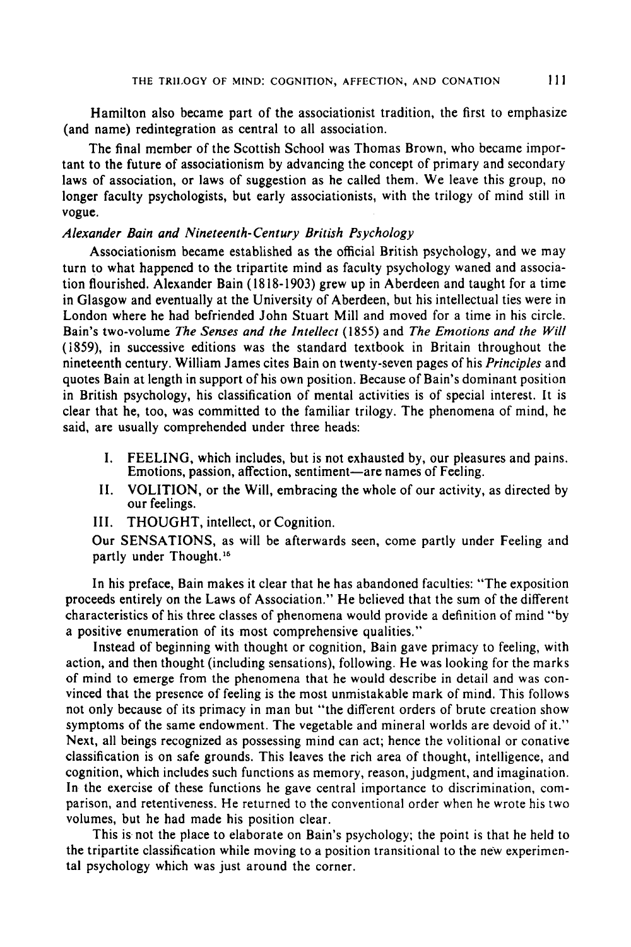Hamilton also became part of the associationist tradition, the first to emphasize (and name) redintegration as central to all association.

The final member of the Scottish School was Thomas Brown, who became important to the future of associationism by advancing the concept of primary and secondary laws of association, or laws of suggestion as he called them. We leave this group, no longer faculty psychologists, but early associationists, with the trilogy of mind still in vogue.

## *Alexander Bain and Nineteenth- Century British Psychology*

Associationism became established as the official British psychology, and we may turn to what happened to the tripartite mind as faculty psychology waned and association flourished. Alexander Bain (1818-1903) grew up in Aberdeen and taught for a time in Glasgow and eventually at the University of Aberdeen, but his intellectual ties were in London where he had befriended John Stuart Mill and moved for a time in his circle. Bain's two-volume *The Senses and the Intellect* (1855) and *The Emotions and the Will*  (i559), in successive editions was the standard textbook in Britain throughout the nineteenth century. William James cites Bain on twenty-seven pages of his *Principles* and quotes Bain at length in support of his own position. Because of Bain's dominant position in British psychology, his classification of mental activities is of special interest. It is clear that he, too, was committed to the familiar trilogy. The phenomena of mind, he said, are usually comprehended under three heads:

- I. FEELING, which includes, but is not exhausted by, our pleasures and pains. Emotions, passion, affection, sentiment—are names of Feeling.
- 11. VOLITION, or the Will, embracing the whole of our activity, as directed by our feelings.
- 111. THOUGHT, intellect, or Cognition.

**Our** SENSATIONS, as will be afterwards seen, come partly under Feeling and partly under Thought.16

In his preface, Bain makes it clear that he has abandoned faculties: "The exposition proceeds entirely on the Laws of Association." He believed that the sum of the different characteristics of his three classes of phenomena would provide a definition of mind "by a positive enumeration of its most comprehensive qualities."

Instead of beginning with thought or cognition, Bain gave primacy to feeling, with action, and then thought (including sensations), following. He was looking for the marks of mind to emerge from the phenomena that he would describe in detail and was convinced that the presence of feeling is the most unmistakable mark of mind. This follows not only because of its primacy in man but "the different orders of brute creation show symptoms of the same endowment. The vegetable and mineral worlds are devoid of it." Next, all beings recognized as possessing mind can act; hence the volitional or conative classification is on safe grounds. This leaves the rich area of thought, intelligence, and cognition, which includes such functions as memory, reason, judgment, and imagination. In the exercise of these functions he gave central importance to discrimination, comparison, and retentiveness. He returned to the conventional order when he wrote his two volumes, but he had made his position clear.

This is not the place to elaborate on Bain's psychology; the point is that he held to the tripartite classification while moving to a position transitional to the new experimental psychology which was just around the corner.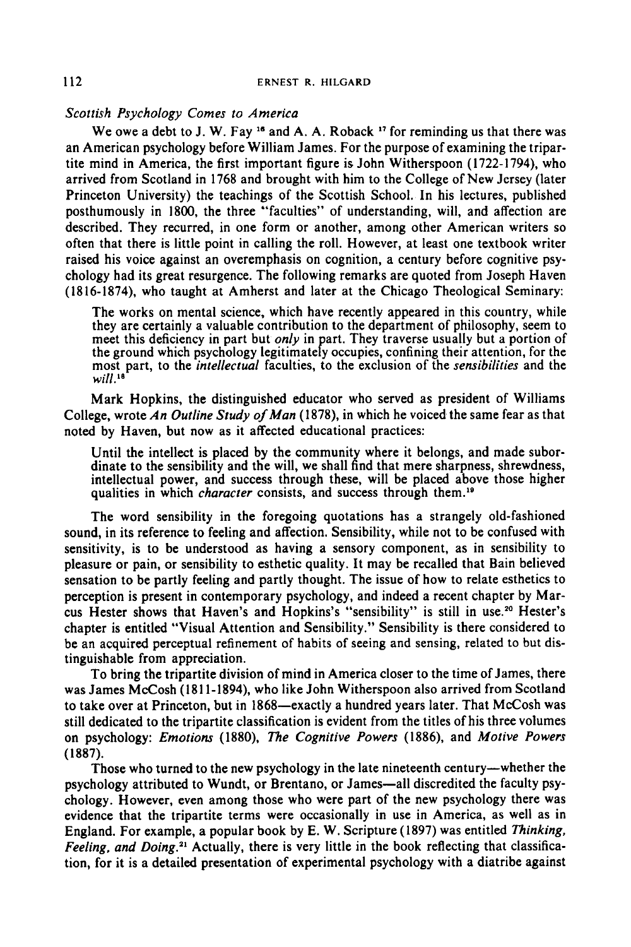#### *Scottish Psychology Comes to America*

We owe a debt to J. W. Fay <sup>16</sup> and A. A. Roback <sup>17</sup> for reminding us that there was an American psychology before William James. For the purpose of examining the tripartite mind in America, the first important figure is John Witherspoon **(1722-1794),** who arrived from Scotland in **1768** and brought with him to the College of New Jersey (later Princeton University) the teachings of the Scottish School. In his lectures, published posthumously in **1800,** the three "faculties" of understanding, will, and affection are described. They recurred, in one form or another, among other American writers **so**  often that there is little point in calling the roll. However, at least one textbook writer raised his voice against an overemphasis on cognition, a century before cognitive psychology had its great resurgence. The following remarks are quoted from Joseph Haven **(18 16- 1874),** who taught at Amherst and later at the Chicago Theological Seminary:

The works on mental science, which have recently appeared in this country, while they are certainly a valuable contribution to the department of philosophy, seem to meet this deficiency in part but *only* in part. They traverse usually but a portion of most part, to the *intellectual* faculties, to the exclusion of the *sensibilities* and the the ground which psychology legitimately occupies, confining their attention, for the

Mark Hopkins, the distinguished educator who served as president of Williams College, wrote *An Outline Study of Man* (1878), in which he voiced the same fear as that noted by Haven, but now as it affected educational practices:

Until the intellect is placed by the community where it belongs, and made suborintellectual power, and success through these, will be placed above those higher qualities in which *character* consists, and success through them.<sup>19</sup> dinate to the sensibility and the will, we shall find that mere sharpness, shrewdness,

The word sensibility in the foregoing quotations has a strangely old-fashioned sound, in its reference to feeling and affection. Sensibility, while not to be confused with sensitivity, is to be understood as having a sensory component, as in sensibility to pleasure or pain, or sensibility to esthetic quality. It may be recalled that Bain believed sensation to be partly feeling and partly thought. The issue of how to relate esthetics to perception is present in contemporary psychology, and indeed a recent chapter by Marcus Hester shows that Haven's and Hopkins's "sensibility" is still in use.<sup>20</sup> Hester's chapter is entitled "Visual Attention and Sensibility." Sensibility is there considered to be an acquired perceptual refinement of habits of seeing and sensing, related to but distinguishable from appreciation.

To bring the tripartite division of mind in America closer to the time of James, there was James McCosh **(181 1-1894),** who like John Witherspoon also arrived from Scotland to take over at Princeton, but in 1868—exactly a hundred years later. That McCosh was still dedicated to the tripartite classification is evident from the titles of his three volumes on psychology: *Emotions* **(1880),** *The Cognitive Powers* **(1886),** and *Motive Powers*  **(1887).** 

Those who turned to the new psychology in the late nineteenth century—whether the psychology attributed to Wundt, or Brentano, or James-all discredited the faculty psychology. However, even among those who were part of the new psychology there was evidence that the tripartite terms were occasionally in use in America, as well as in England. For example, a popular book by E. W. Scripture **(1897)** was entitled *Thinking, Feeling, and Doing.21* Actually, there is very little in the book reflecting that classification, for it is a detailed presentation of experimental psychology with a diatribe against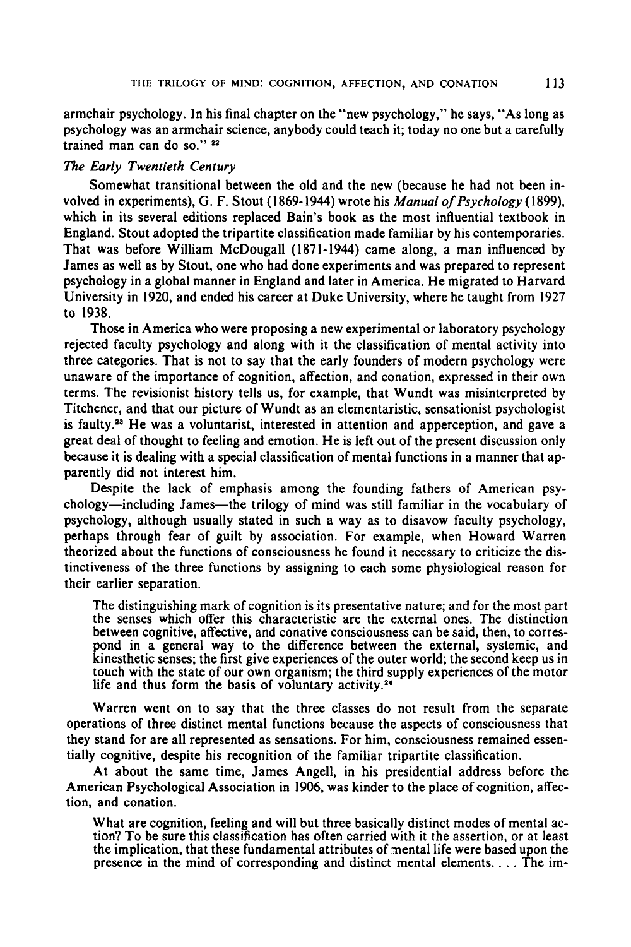armchair psychology. In his final chapter on the "new psychology," he says, "As long as psychology was an armchair science, anybody could teach it; today no one but a carefully trained man can do **so." zz** 

#### *The Early Twentieth Century*

Somewhat transitional between the old and the new (because he had not been involved in experiments), G. F. Stout (1869-1944) wrote his *Manual of Psychology* (1899), which in its several editions replaced Bain's book as the most influential textbook in England. Stout adopted the tripartite classification made familiar by his contemporaries. That was before William McDougall (1871-1944) came along, a man influenced by James as well as by Stout, one who had done experiments and was prepared to represent psychology in a global manner in England and later in America. He migrated to Harvard University in **1920,** and ended his career at Duke University, where he taught from 1927 to 1938.

Those in America who were proposing a new experimental or laboratory psychology rejected faculty psychology and along with it the classification of mental activity into three categories. That is not to say that the early founders of modern psychology were unaware of the importance of cognition, affection, and conation, expressed in their own terms. The revisionist history tells us, for example, that Wundt was misinterpreted by Titchener, and that our picture of Wundt as an elementaristic, sensationist psychologist is faulty.<sup>23</sup> He was a voluntarist, interested in attention and apperception, and gave a great deal of thought to feeling and emotion. He is left out of the present discussion only because it is dealing with a special classification of mental functions in a manner that apparently did not interest him.

Despite the lack of emphasis among the founding fathers of American psychology-including James-the trilogy of mind was still familiar in the vocabulary of psychology, although usually stated in such a way as to disavow faculty psychology, perhaps through fear of guilt by association. For example, when Howard Warren theorized about the functions of consciousness he found it necessary to criticize the distinctiveness of the three functions by assigning to each some physiological reason for their earlier separation.

The distinguishing mark of cognition is its presentative nature; and for the most part the senses which offer this characteristic are the external ones. The distinction between cognitive, affective, and conative consciousness can be said, then, to corresnd in a general way to the difference between the external, systemic, and kinesthetic senses; the first give experiences of the outer world; the second keep us in touch with the state of our own organism; the third supply experiences of the motor life and thus form the basis of voluntary activity.<sup>24</sup>

Warren went on to say that the three classes do not result from the separate operations of three distinct mental functions because the aspects of consciousness that they stand for are all represented as sensations. For him, consciousness remained essentially cognitive, despite his recognition of the familiar tripartite classification.

At about the same time, James Angell, in his presidential address before the American Psychological Association in 1906, was kinder to the place of cognition, affection, and conation.

What are cognition, feeling and will but three basically distinct modes of mental action? To be sure this classification has often carried with it the assertion, or at least the implication, that these fundamental attributes of mental life were based upon the presence in the mind of corresponding and distinct mental elements. . . . The im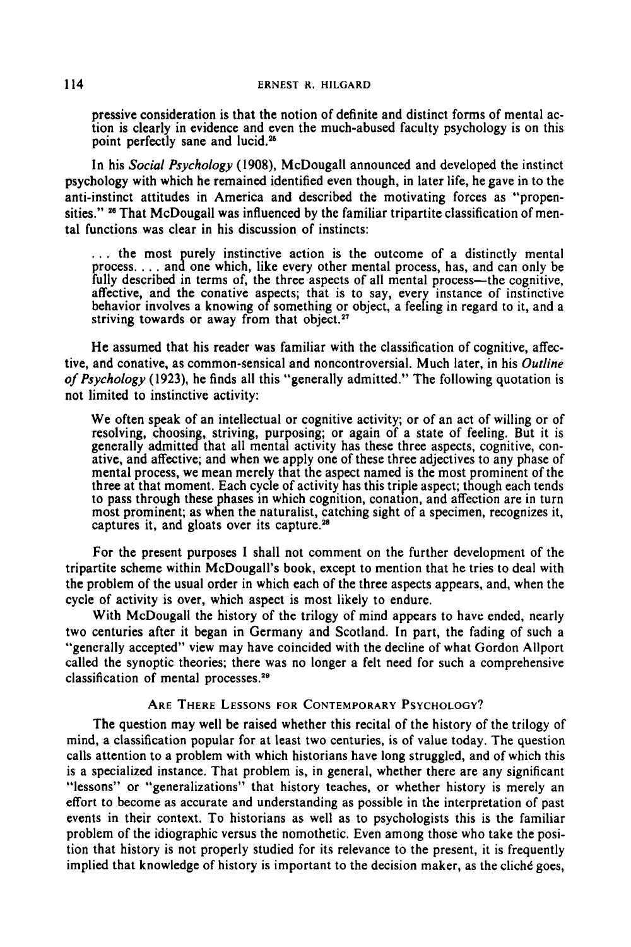pressive consideration is that the notion of definite and distinct forms of mental action is clearly in evidence and even the much-abused faculty psychology is on this point perfectly sane and lucid.<sup>25</sup>

In his *Social Psychology* (19O8), McDougall announced and developed the instinct psychology with which he remained identified even though, in later life, he gave in to the anti-instinct attitudes in America and described the motivating forces as "propensities." **26** That McDougall was influenced by the familiar tripartite classification of mental functions was clear in his discussion of instincts:

... the most purely instinctive action is the outcome of a distinctly mental fully described in terms of, the three aspects of all mental process—the cognitive, affective, and the conative aspects; that is to say, every instance of instinctive striving towards or away from that object.<sup>27</sup> process. . . . and one which, like every other mental process, has, and can only be behavior involves a knowing of something or object, a feeling in regard to it, and a

He assumed that his reader was familiar with the classification of cognitive, affective, and conative, as common-sensical and noncontroversial. Much later, in his *Ourline of Psychology* (1929, he finds all this "generally admitted." The following quotation is not limited to instinctive activity:

We often speak of an intellectual or cognitive activity; or of an act of willing or of resolving, choosing, striving, purposing; or again of a state of feeling. But it is ative, and affective; and when we apply one of these three adjectives to any phase of mental process, we mean merely that the aspect named is the most prominent of the three at that moment. Each cycle of activity has this triple aspect; though each tends to pass through these phases in which cognition, conation, and affection are in turn most prominent; as when the naturalist, catching sight of a specimen, recognizes it, captures it, and gloats over its capture.<sup>28</sup> generally admitted that all mental activity has these three aspects, cognitive, con-

For the present purposes I shall not comment on the further development of the tripartite scheme within McDougall's book, except to mention that he tries to deal with the problem of the usual order in which each of the three aspects appears, and, when the cycle of activity is over, which aspect is most likely to endure.

With McDougall the history of the trilogy of mind appears to have ended, nearly two centuries after it began in Germany and Scotland. In part, the fading of such a "generally accepted" view may have coincided with the decline of what Gordon Allport called the synoptic theories; there was no longer a felt need for such a comprehensive classification of mental processes.28

#### ARE THERE LESSONS **FOR** CONTEMPORARY PSYCHOLOGY?

The question may well be raised whether this recital of the history of the trilogy of mind, a classification popular for at least two centuries, is of value today. The question calls attention to a problem with which historians have long struggled, and of which this is a specialized instance. That problem is, in general, whether there are any significant "lessons" or "generalizations" that history teaches, or whether history is merely an effort to become as accurate and understanding as possible in the interpretation of past events in their context. To historians as well as to psychologists this is the familiar problem of the idiographic versus the nomothetic. Even among those who take the position that history is not properly studied for its relevance to the present, it is frequently implied that knowledge of history is important to the decision maker, as the cliche goes,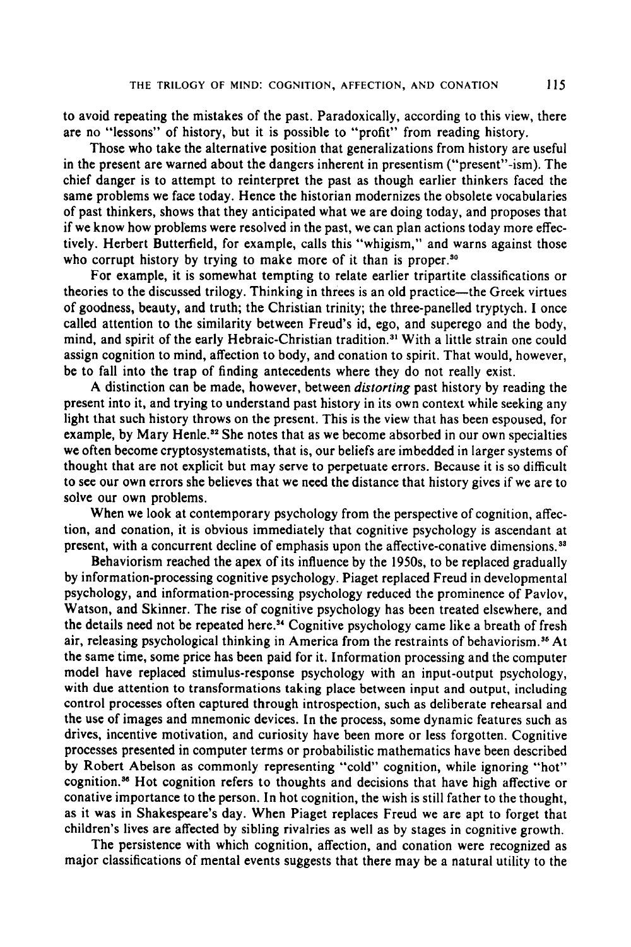to avoid repeating the mistakes of the past. Paradoxically, according to this view, there are no "lessons" of history, but it is possible to "profit" from reading history.

Those who take the alternative position that generalizations from history are useful in the present are warned about the dangers inherent in presentism ("present"-ism). The chief danger is to attempt to reinterpret the past as though earlier thinkers faced the same problems we face today. Hence the historian modernizes the obsolete vocabularies of past thinkers, shows that they anticipated what we are doing today, and proposes that if we know how problems were resolved in the past, we can plan actions today more effectively. Herbert Butterfield, for example, calls this "whigism," and warns against those who corrupt history by trying to make more of it than is proper.<sup>30</sup>

For example, it is somewhat tempting to relate earlier tripartite classifications or theories to the discussed trilogy. Thinking in threes is an old practice—the Greek virtues of goodness, beauty, and truth; the Christian trinity; the three-panelled tryptych. I once called attention to the similarity between Freud's id, ego, and superego and the body, mind, and spirit of the early Hebraic-Christian tradition.<sup>31</sup> With a little strain one could assign cognition to mind, affection to body, and conation to spirit. That would, however, be to fall into the trap of finding antecedents where they do not really exist.

A distinction can be made, however, between *distorting* past history by reading the present into it, and trying to understand past history in its own context while seeking any light that such history throws on the present. This is the view that has been espoused, for example, by Mary Henle.<sup>32</sup> She notes that as we become absorbed in our own specialties we often become cryptosystematists, that is, our beliefs are imbedded in larger systems of thought that are not explicit but may serve to perpetuate errors. Because it is so difficult **to** see our own errors she believes that we need the distance that history gives if we are to solve our own problems.

When we look at contemporary psychology from the perspective of cognition, affection, and conation, it is obvious immediately that cognitive psychology is ascendant at present, with a concurrent decline of emphasis upon the affective-conative dimensions.<sup>33</sup>

Behaviorism reached the apex of its influence by the 1950s, to be replaced gradually by information-processing cognitive psychology. Piaget replaced Freud in developmental psychology, and information-processing psychology reduced the prominence of Pavlov, Watson, and Skinner. The rise of cognitive psychology has been treated elsewhere, and the details need not be repeated here.<sup>34</sup> Cognitive psychology came like a breath of fresh air, releasing psychological thinking in America from the restraints of behaviorism.<sup>35</sup> At the same time, some price has been paid for it. Information processing and the computer model have replaced stimulus-response psychology with an input-output psychology, with due attention to transformations taking place between input and output, including control processes often captured through introspection, such as deliberate rehearsal and the use of images and mnemonic devices. In the process, some dynamic features such as drives, incentive motivation, and curiosity have been more or less forgotten. Cognitive processes presented in computer terms or probabilistic mathematics have been described by Robert Abelson as commonly representing "cold" cognition, while ignoring "hot" cognition.<sup>36</sup> Hot cognition refers to thoughts and decisions that have high affective or conative importance to the person. In hot cognition, the wish is still father **to** the thought, as it was in Shakespeare's day. When Piaget replaces Freud we are apt to forget that children's lives are affected by sibling rivalries as well as by stages in cognitive growth.

The persistence with which cognition, affection, and conation were recognized as major classifications of mental events suggests that there may be a natural utility to the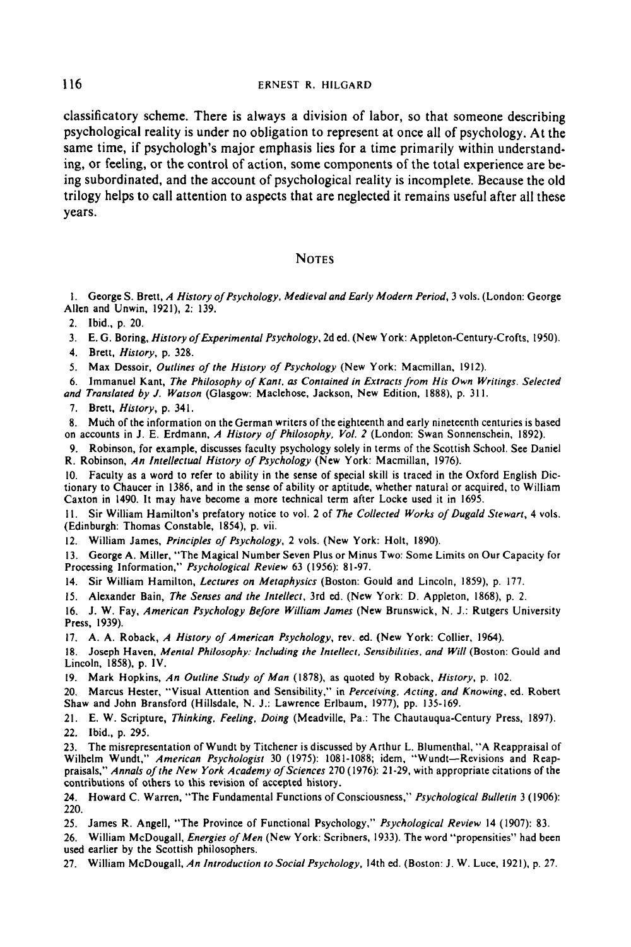classificatory scheme. There is always a division of labor, so that someone describing psychological reality is under no obligation to represent at once all of psychology. At the same time, if psychologh's major emphasis lies for a time primarily within understanding, or feeling, or the control of action, some components of the total experience are being subordinated, and the account of psychological reality is incomplete. Because the old trilogy helps to call attention to aspects that are neglected it remains useful after all these years.

## **NOTES**

1. George S. Brett, *A History of Psychology, Medievulund Eurly Modern Period,* **3** vols. (London: George Allen and Unwin, **1921), 2: 139.** 

**2.** Ibid.. p. **20.** 

3. E. G. Boring, *History of Experimental Psychology*, 2d ed. (New York: Appleton-Century-Crofts, 1950).

4. Brett, *Hirtory,* p. **328.** 

5. Max Dessoir, *Outlines of the History of Psychology* (New York: Macmillan, 1912).

**6.**  lmmanuel Kant. *The Philosophy of Kant.* **us** *Contained in Extracts from His Own Writings. Selected and Trunsluted by J. Wurson* (Glasgow: Maclehose, Jackson, New Edition, **1888),** p. **31** I.

**7.** Brett. *History,* p. **341.** 

8. Much of the information on the German writers of the eighteenth and early nineteenth centuries is based<br>on accounts in J. E. Erdmann, A History of Philosophy, Vol. 2 (London: Swan Sonnenschein, 1892).

**9.** Robinson, for example, discusses faculty psychology solely in terms of the Scottish School. See Daniel R. Robinson, *An Inrellecruul History of Psychology* (New York: Macmillan, **1976).** 

10. Faculty as a word to refer to ability in the sense of special skill is traced in the Oxford English Dictionary to Chaucer in **1386,** and in the sense of ability or aptitude, whether natural or acquired, to William Caxton in 1490. It may have become a more technical term after Locke used it in **1695.** 

I I. Sir William Hamilton's prefatory notice to vol. **2** of *The Collected Works of Duguld Srewurr,* **4** vols. (Edinburgh: Thomas Constable, **1854),** p. vii.

**12.** William James, *Principles of Psychology,* **2 vols.** (New York: Holt, **1890).** 

**13.** George **A.** Miller, "The Magical Number Seven Plus or Minus Two: Some Limits on Our Capacity for Processing Information." *Psychologicul Review 63* **(1956): 8 1-97.** 

**14.** Sir William Hamilton, *Lectures on Metophysics* (Boston: Gould and Lincoln, **1859).** p. **177.** 

*15.* Alexander Bain, *The Senses und the Intellecr,* 3rd ed. (New York: D. Appleton. **1868),** p. **2.** 

**16.** J. W. Fay, *American Psychology Before Willium James* (New Brunswick, N. J.: Rutgers University Press, **1939).** 

**17.** A. A. Roback, *A History of Americun Psychology,* rev. *ed.* (New York: Collier, **1964).** 

**18.** Joseph Haven, *Mentul Philosophy: Including the Intellect. Sensibiliries. and Will* (Boston: Gould and Lincoln, **1858).** p. **IV.** 

**19.** Mark Hopkins, *An Outline Study of Man* **(1878).** as quoted by Roback. *History,* p. **102.** 

**20.** Marcus Hester, "Visual Attention and Sensibility," in *Perceiving, Acting. und Knowing,* ed. Robert Shaw and John Bransford (Hillsdale, N. J.: Lawrence Erlbaum, **1977),** pp. **135-169.** 

**21.** E. **W.** Scripture, *Thinking. Feeling, Doing* (Meadville, Pa.: The Chautauqua-Century Press, **1897). 22.** Ibid., p. **295.** 

**23.** The misrepresentation of Wundt by Titchener is discussed by Arthur L. Blumenthal, "A Reappraisal of Wilhelm Wundt," *Americun Psychologist* **30 (1975): 1081-1088;** idem, "Wundt-Revisions and Reappraisals," *Annuls ojrhe New York Acudemy of Sciences* **270 (1976): 21-29.** with appropriate citations of the contributions of others to this revision of accepted history.

24. Howard C. Warren, "The Fundamental Functions of Consciousness," *Psychological Bullerin* **3** ( **1906): 220.** 

**25.** James R. Angell, "The Province of Functional Psychology," *Psychologicul Review* 14 **(1907): 83.** 

**26.** William McDougall, *Energies of Men* (New York: Scribners, **1933).** The word "propensities" had been used earlier by the Scottish philosophers.

**27.** William McDougall, *An Introducrion ro Sociul Psychology,* 14th ed. (Boston: J. W. Luce. **1921).** p. **27.**